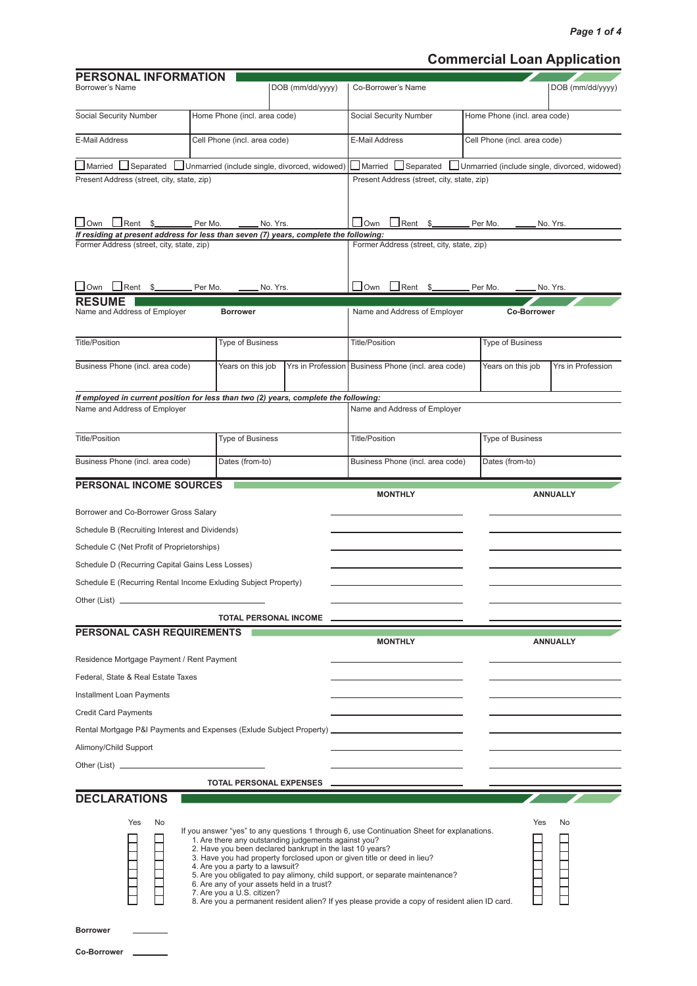# **Commercial Loan Application**

| PERSONAL INFORMATION<br>Borrower's Name                                                             |         |                                                                | DOB (mm/dd/yyyy)                                                                                                                                               | Co-Borrower's Name                                                                                                                                                                                                                                                                                                                                      |                              | DOB (mm/dd/yyyy)                              |
|-----------------------------------------------------------------------------------------------------|---------|----------------------------------------------------------------|----------------------------------------------------------------------------------------------------------------------------------------------------------------|---------------------------------------------------------------------------------------------------------------------------------------------------------------------------------------------------------------------------------------------------------------------------------------------------------------------------------------------------------|------------------------------|-----------------------------------------------|
| Social Security Number                                                                              |         | Home Phone (incl. area code)                                   |                                                                                                                                                                | Social Security Number                                                                                                                                                                                                                                                                                                                                  | Home Phone (incl. area code) |                                               |
| <b>E-Mail Address</b>                                                                               |         | Cell Phone (incl. area code)                                   |                                                                                                                                                                | E-Mail Address                                                                                                                                                                                                                                                                                                                                          | Cell Phone (incl. area code) |                                               |
| ■Married ■Separated                                                                                 |         |                                                                | Unmarried (include single, divorced, widowed)                                                                                                                  | I Married LISeparated                                                                                                                                                                                                                                                                                                                                   |                              | Unmarried (include single, divorced, widowed) |
| Present Address (street, city, state, zip)                                                          |         |                                                                |                                                                                                                                                                | Present Address (street, city, state, zip)                                                                                                                                                                                                                                                                                                              |                              |                                               |
| $\Box$ Own<br>If residing at present address for less than seven (7) years, complete the following: |         |                                                                | $\_$ No. Yrs.                                                                                                                                                  | $\sqcup$ Own                                                                                                                                                                                                                                                                                                                                            |                              | . No. Yrs.                                    |
| Former Address (street, city, state, zip)                                                           |         |                                                                |                                                                                                                                                                | Former Address (street, city, state, zip)                                                                                                                                                                                                                                                                                                               |                              |                                               |
| $\Box$ Own<br>$J$ Rent $$$ ___                                                                      | Per Mo. |                                                                | No. Yrs.                                                                                                                                                       | $\bigsqcup$ Own<br>$\Box$ Rent \$                                                                                                                                                                                                                                                                                                                       | Per Mo.                      | No. Yrs.                                      |
| <b>RESUME</b><br>Name and Address of Employer                                                       |         | <b>Borrower</b>                                                |                                                                                                                                                                | Name and Address of Employer                                                                                                                                                                                                                                                                                                                            | <b>Co-Borrower</b>           |                                               |
| <b>Title/Position</b>                                                                               |         | <b>Type of Business</b>                                        |                                                                                                                                                                | <b>Title/Position</b>                                                                                                                                                                                                                                                                                                                                   | <b>Type of Business</b>      |                                               |
| Business Phone (incl. area code)                                                                    |         | Years on this job                                              | Yrs in Profession                                                                                                                                              | Business Phone (incl. area code)                                                                                                                                                                                                                                                                                                                        | Years on this job            | <b>Yrs in Profession</b>                      |
| If employed in current position for less than two (2) years, complete the following:                |         |                                                                |                                                                                                                                                                |                                                                                                                                                                                                                                                                                                                                                         |                              |                                               |
| Name and Address of Employer                                                                        |         |                                                                |                                                                                                                                                                | Name and Address of Employer                                                                                                                                                                                                                                                                                                                            |                              |                                               |
| <b>Title/Position</b>                                                                               |         | <b>Type of Business</b>                                        |                                                                                                                                                                | <b>Title/Position</b>                                                                                                                                                                                                                                                                                                                                   | <b>Type of Business</b>      |                                               |
| Business Phone (incl. area code)                                                                    |         | Dates (from-to)                                                |                                                                                                                                                                | Business Phone (incl. area code)                                                                                                                                                                                                                                                                                                                        | Dates (from-to)              |                                               |
| <b>PERSONAL INCOME SOURCES</b>                                                                      |         |                                                                |                                                                                                                                                                | <b>MONTHLY</b>                                                                                                                                                                                                                                                                                                                                          |                              | <b>ANNUALLY</b>                               |
| Borrower and Co-Borrower Gross Salary                                                               |         |                                                                |                                                                                                                                                                |                                                                                                                                                                                                                                                                                                                                                         |                              |                                               |
| Schedule B (Recruiting Interest and Dividends)                                                      |         |                                                                |                                                                                                                                                                |                                                                                                                                                                                                                                                                                                                                                         |                              |                                               |
| Schedule C (Net Profit of Proprietorships)                                                          |         |                                                                |                                                                                                                                                                |                                                                                                                                                                                                                                                                                                                                                         |                              |                                               |
| Schedule D (Recurring Capital Gains Less Losses)                                                    |         |                                                                |                                                                                                                                                                |                                                                                                                                                                                                                                                                                                                                                         |                              |                                               |
| Schedule E (Recurring Rental Income Exluding Subject Property)                                      |         |                                                                |                                                                                                                                                                |                                                                                                                                                                                                                                                                                                                                                         |                              |                                               |
| Other (List).                                                                                       |         |                                                                |                                                                                                                                                                |                                                                                                                                                                                                                                                                                                                                                         |                              |                                               |
|                                                                                                     |         |                                                                | <b>TOTAL PERSONAL INCOME</b>                                                                                                                                   |                                                                                                                                                                                                                                                                                                                                                         |                              |                                               |
| PERSONAL CASH REQUIREMENTS                                                                          |         |                                                                |                                                                                                                                                                | <b>MONTHLY</b>                                                                                                                                                                                                                                                                                                                                          |                              | <b>ANNUALLY</b>                               |
| Residence Mortgage Payment / Rent Payment                                                           |         |                                                                |                                                                                                                                                                |                                                                                                                                                                                                                                                                                                                                                         |                              |                                               |
| Federal, State & Real Estate Taxes                                                                  |         |                                                                |                                                                                                                                                                |                                                                                                                                                                                                                                                                                                                                                         |                              |                                               |
| Installment Loan Payments                                                                           |         |                                                                |                                                                                                                                                                |                                                                                                                                                                                                                                                                                                                                                         |                              |                                               |
| <b>Credit Card Payments</b>                                                                         |         |                                                                |                                                                                                                                                                |                                                                                                                                                                                                                                                                                                                                                         |                              |                                               |
|                                                                                                     |         |                                                                |                                                                                                                                                                | Rental Mortgage P&I Payments and Expenses (Exlude Subject Property) _______________________________                                                                                                                                                                                                                                                     |                              |                                               |
| Alimony/Child Support                                                                               |         |                                                                |                                                                                                                                                                |                                                                                                                                                                                                                                                                                                                                                         |                              |                                               |
| Other (List) <u>___________________________</u>                                                     |         |                                                                |                                                                                                                                                                |                                                                                                                                                                                                                                                                                                                                                         |                              |                                               |
|                                                                                                     |         |                                                                | <b>TOTAL PERSONAL EXPENSES</b>                                                                                                                                 |                                                                                                                                                                                                                                                                                                                                                         |                              |                                               |
| <b>DECLARATIONS</b>                                                                                 |         |                                                                |                                                                                                                                                                |                                                                                                                                                                                                                                                                                                                                                         |                              |                                               |
| Yes<br>No                                                                                           |         | 4. Are you a party to a lawsuit?<br>7. Are you a U.S. citizen? | 1. Are there any outstanding judgements against you?<br>2. Have you been declared bankrupt in the last 10 years?<br>6. Are any of your assets held in a trust? | If you answer "yes" to any questions 1 through 6, use Continuation Sheet for explanations.<br>3. Have you had property forclosed upon or given title or deed in lieu?<br>5. Are you obligated to pay alimony, child support, or separate maintenance?<br>8. Are you a permanent resident alien? If yes please provide a copy of resident alien ID card. |                              | Yes<br>No                                     |
| <b>Borrower</b>                                                                                     |         |                                                                |                                                                                                                                                                |                                                                                                                                                                                                                                                                                                                                                         |                              |                                               |
| <b>Co-Borrower</b>                                                                                  |         |                                                                |                                                                                                                                                                |                                                                                                                                                                                                                                                                                                                                                         |                              |                                               |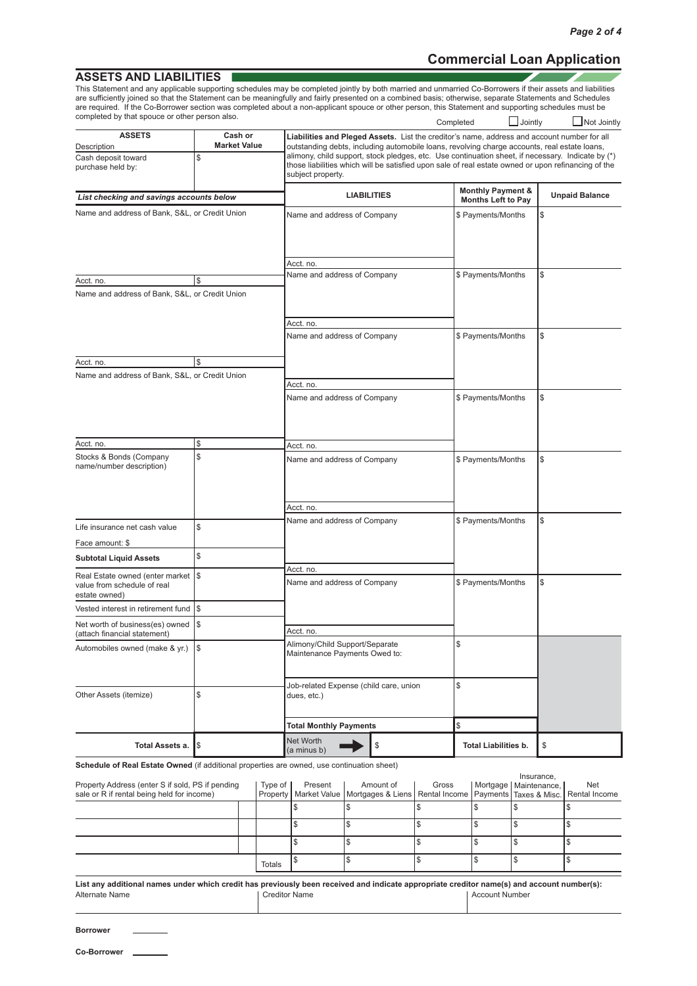$\mathcal{L}$ 

## **Commercial Loan Application**

### **ASSETS AND LIABILITIES**

Completed  $\Box$  Jointly  $\Box$  Not Jointly This Statement and any applicable supporting schedules may be completed jointly by both married and unmarried Co-Borrowers if their assets and liabilities are sufficiently joined so that the Statement can be meaningfully and fairly presented on a combined basis; otherwise, separate Statements and Schedules are required. If the Co-Borrower section was completed about a non-applicant spouce or other person, this Statement and supporting schedules must be completed by that spouce or other person also.

| <b>ASSETS</b><br>Description                                                        | Liabilities and Pleged Assets. List the creditor's name, address and account number for all<br>outstanding debts, including automobile loans, revolving charge accounts, real estate loans, |                                                                                                                                                                                                                               |                                                           |                       |  |
|-------------------------------------------------------------------------------------|---------------------------------------------------------------------------------------------------------------------------------------------------------------------------------------------|-------------------------------------------------------------------------------------------------------------------------------------------------------------------------------------------------------------------------------|-----------------------------------------------------------|-----------------------|--|
| Cash deposit toward<br>purchase held by:                                            | \$                                                                                                                                                                                          | alimony, child support, stock pledges, etc. Use continuation sheet, if necessary. Indicate by (*)<br>those liabilities which will be satisfied upon sale of real estate owned or upon refinancing of the<br>subject property. |                                                           |                       |  |
| List checking and savings accounts below                                            |                                                                                                                                                                                             | <b>LIABILITIES</b>                                                                                                                                                                                                            | <b>Monthly Payment &amp;</b><br><b>Months Left to Pay</b> | <b>Unpaid Balance</b> |  |
| Name and address of Bank, S&L, or Credit Union                                      |                                                                                                                                                                                             | Name and address of Company                                                                                                                                                                                                   | \$ Payments/Months                                        | \$                    |  |
|                                                                                     |                                                                                                                                                                                             |                                                                                                                                                                                                                               |                                                           |                       |  |
|                                                                                     |                                                                                                                                                                                             | Acct. no.<br>Name and address of Company                                                                                                                                                                                      | \$ Payments/Months                                        | \$                    |  |
| Acct. no.                                                                           | \$                                                                                                                                                                                          |                                                                                                                                                                                                                               |                                                           |                       |  |
| Name and address of Bank, S&L, or Credit Union                                      |                                                                                                                                                                                             |                                                                                                                                                                                                                               |                                                           |                       |  |
|                                                                                     |                                                                                                                                                                                             | Acct. no.                                                                                                                                                                                                                     |                                                           |                       |  |
|                                                                                     |                                                                                                                                                                                             | Name and address of Company                                                                                                                                                                                                   | \$ Payments/Months                                        | \$                    |  |
| Acct. no.                                                                           | \$                                                                                                                                                                                          |                                                                                                                                                                                                                               |                                                           |                       |  |
| Name and address of Bank, S&L, or Credit Union                                      |                                                                                                                                                                                             |                                                                                                                                                                                                                               |                                                           |                       |  |
|                                                                                     |                                                                                                                                                                                             | Acct. no.                                                                                                                                                                                                                     |                                                           |                       |  |
|                                                                                     |                                                                                                                                                                                             | Name and address of Company                                                                                                                                                                                                   | \$ Payments/Months                                        | \$                    |  |
| Acct. no.                                                                           | \$                                                                                                                                                                                          | Acct. no.                                                                                                                                                                                                                     |                                                           |                       |  |
| Stocks & Bonds (Company<br>name/number description)                                 | \$                                                                                                                                                                                          | Name and address of Company                                                                                                                                                                                                   | \$ Payments/Months                                        | \$                    |  |
|                                                                                     |                                                                                                                                                                                             | Acct. no.                                                                                                                                                                                                                     |                                                           |                       |  |
| Life insurance net cash value                                                       | \$                                                                                                                                                                                          | Name and address of Company                                                                                                                                                                                                   | \$ Payments/Months                                        | \$                    |  |
|                                                                                     |                                                                                                                                                                                             |                                                                                                                                                                                                                               |                                                           |                       |  |
| Face amount: \$                                                                     | \$                                                                                                                                                                                          |                                                                                                                                                                                                                               |                                                           |                       |  |
| <b>Subtotal Liquid Assets</b>                                                       |                                                                                                                                                                                             | Acct. no.                                                                                                                                                                                                                     |                                                           |                       |  |
| Real Estate owned (enter market  \$<br>value from schedule of real<br>estate owned) |                                                                                                                                                                                             | Name and address of Company                                                                                                                                                                                                   | \$ Payments/Months                                        | \$                    |  |
| Vested interest in retirement fund S                                                |                                                                                                                                                                                             |                                                                                                                                                                                                                               |                                                           |                       |  |
| Net worth of business(es) owned<br>(attach financial statement)                     | \$                                                                                                                                                                                          | Acct. no.                                                                                                                                                                                                                     |                                                           |                       |  |
| Automobiles owned (make & yr.) $\sqrt{\$}$                                          |                                                                                                                                                                                             | Alimony/Child Support/Separate<br>Maintenance Payments Owed to:                                                                                                                                                               | \$                                                        |                       |  |
| Other Assets (itemize)                                                              | \$                                                                                                                                                                                          | Job-related Expense (child care, union<br>dues, etc.)                                                                                                                                                                         | \$                                                        |                       |  |
|                                                                                     |                                                                                                                                                                                             | <b>Total Monthly Payments</b>                                                                                                                                                                                                 | $\mathbb{S}$                                              |                       |  |
| Total Assets a.                                                                     | Ι\$                                                                                                                                                                                         | Net Worth<br>\$<br>(a minus b)                                                                                                                                                                                                | <b>Total Liabilities b.</b>                               | \$                    |  |
|                                                                                     |                                                                                                                                                                                             |                                                                                                                                                                                                                               |                                                           |                       |  |

#### **Schedule of Real Estate Owned** (if additional properties are owned, use continuation sheet)

|                                                  |  |         |         |                                                                                                        |       |  | Insurance.                |     |
|--------------------------------------------------|--|---------|---------|--------------------------------------------------------------------------------------------------------|-------|--|---------------------------|-----|
| Property Address (enter S if sold, PS if pending |  | Type of | Present | Amount of                                                                                              | Gross |  | Mortgage   Maintenance, I | Net |
| sale or R if rental being held for income)       |  |         |         | Property   Market Value   Mortgages & Liens   Rental Income   Payments   Taxes & Misc.   Rental Income |       |  |                           |     |
|                                                  |  |         |         |                                                                                                        |       |  |                           |     |
|                                                  |  |         |         |                                                                                                        |       |  |                           |     |
|                                                  |  |         |         |                                                                                                        |       |  |                           |     |
|                                                  |  | Totals  |         |                                                                                                        |       |  |                           |     |

**List any additional names under which credit has previously been received and indicate appropriate creditor name(s) and account number(s):** Alternate Name **Creditor Name Creditor Name Creditor Name Creditor Name Creditor Name Account Number** 

| Borrower |  |  |
|----------|--|--|
|          |  |  |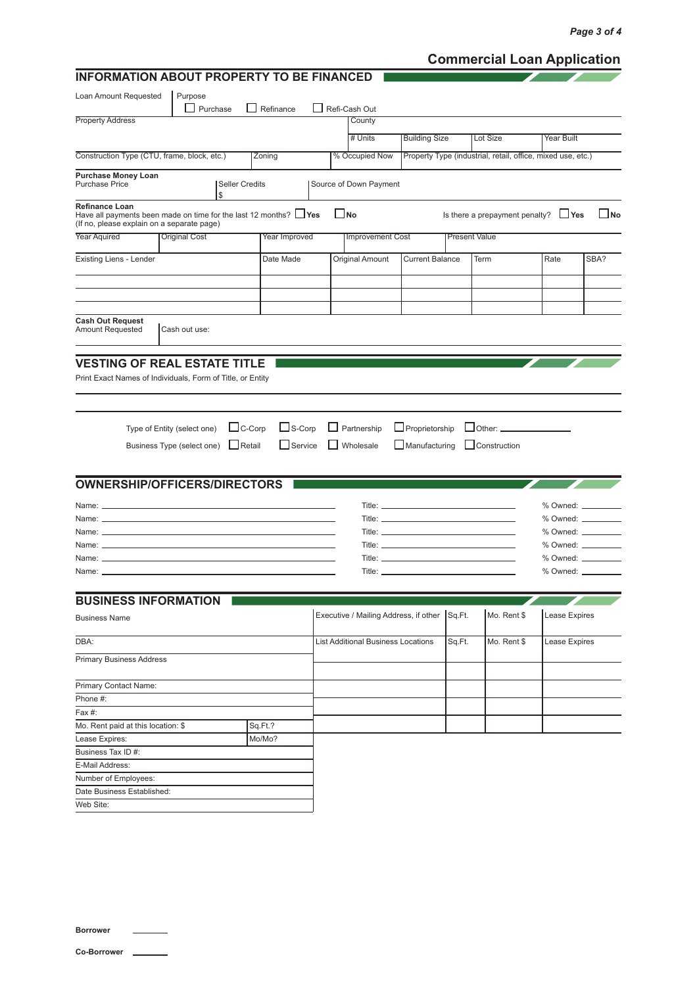# **Commercial Loan Application**

| <b>INFORMATION ABOUT PROPERTY TO BE FINANCED</b>                                                                                       |                                 |                      |                                       |                         |                                                   |                      |                                                             |                   |                                         |
|----------------------------------------------------------------------------------------------------------------------------------------|---------------------------------|----------------------|---------------------------------------|-------------------------|---------------------------------------------------|----------------------|-------------------------------------------------------------|-------------------|-----------------------------------------|
| Loan Amount Requested                                                                                                                  | Purpose                         |                      |                                       |                         |                                                   |                      |                                                             |                   |                                         |
|                                                                                                                                        | $\Box$ Purchase<br>$\mathsf{L}$ | Refinance            | ΙI<br>Refi-Cash Out                   |                         |                                                   |                      |                                                             |                   |                                         |
| <b>Property Address</b>                                                                                                                |                                 |                      | County                                |                         |                                                   |                      |                                                             |                   |                                         |
|                                                                                                                                        |                                 |                      | # Units                               |                         | <b>Building Size</b>                              |                      | Lot Size                                                    | <b>Year Built</b> |                                         |
| Construction Type (CTU, frame, block, etc.)                                                                                            |                                 | Zoning               | % Occupied Now                        |                         |                                                   |                      | Property Type (industrial, retail, office, mixed use, etc.) |                   |                                         |
|                                                                                                                                        |                                 |                      |                                       |                         |                                                   |                      |                                                             |                   |                                         |
| <b>Purchase Money Loan</b><br><b>Purchase Price</b>                                                                                    | <b>Seller Credits</b><br>\$     |                      | Source of Down Payment                |                         |                                                   |                      |                                                             |                   |                                         |
| Refinance Loan<br>Have all payments been made on time for the last 12 months? $\Box$ Yes<br>(If no, please explain on a separate page) |                                 |                      | $\square$ No                          |                         |                                                   |                      | Is there a prepayment penalty? $\Box$ Yes                   |                   | $\square$ No                            |
| <b>Year Aquired</b>                                                                                                                    | <b>Original Cost</b>            | <b>Year Improved</b> |                                       | <b>Improvement Cost</b> |                                                   | <b>Present Value</b> |                                                             |                   |                                         |
| Existing Liens - Lender                                                                                                                |                                 | Date Made            | Original Amount                       |                         | <b>Current Balance</b>                            |                      | Term                                                        | Rate              | SBA?                                    |
|                                                                                                                                        |                                 |                      |                                       |                         |                                                   |                      |                                                             |                   |                                         |
|                                                                                                                                        |                                 |                      |                                       |                         |                                                   |                      |                                                             |                   |                                         |
|                                                                                                                                        |                                 |                      |                                       |                         |                                                   |                      |                                                             |                   |                                         |
|                                                                                                                                        |                                 |                      |                                       |                         |                                                   |                      |                                                             |                   |                                         |
| <b>Cash Out Request</b><br><b>Amount Requested</b>                                                                                     | Cash out use:                   |                      |                                       |                         |                                                   |                      |                                                             |                   |                                         |
|                                                                                                                                        |                                 |                      |                                       |                         |                                                   |                      |                                                             |                   |                                         |
|                                                                                                                                        |                                 |                      |                                       |                         |                                                   |                      |                                                             |                   |                                         |
| <b>VESTING OF REAL ESTATE TITLE</b>                                                                                                    |                                 |                      |                                       |                         |                                                   |                      |                                                             |                   |                                         |
| Print Exact Names of Individuals, Form of Title, or Entity                                                                             |                                 |                      |                                       |                         |                                                   |                      |                                                             |                   |                                         |
|                                                                                                                                        |                                 |                      |                                       |                         |                                                   |                      |                                                             |                   |                                         |
|                                                                                                                                        |                                 |                      |                                       |                         |                                                   |                      |                                                             |                   |                                         |
|                                                                                                                                        | $\Box$ C-Corp                   | $\Box$ S-Corp        | Partnership                           |                         | $\Box$ Proprietorship                             |                      | $\Box$ Other: $\Box$                                        |                   |                                         |
| Type of Entity (select one)                                                                                                            |                                 |                      |                                       |                         |                                                   |                      |                                                             |                   |                                         |
| Business Type (select one)                                                                                                             | $\Box$ Retail                   | $\Box$ Service       | Wholesale                             |                         | $\Box$ Manufacturing                              |                      | $\Box$ Construction                                         |                   |                                         |
|                                                                                                                                        |                                 |                      |                                       |                         |                                                   |                      |                                                             |                   |                                         |
|                                                                                                                                        |                                 |                      |                                       |                         |                                                   |                      |                                                             |                   |                                         |
| <b>OWNERSHIP/OFFICERS/DIRECTORS</b>                                                                                                    |                                 |                      |                                       |                         |                                                   |                      |                                                             |                   |                                         |
|                                                                                                                                        |                                 |                      |                                       |                         | Title: <u>___________________________________</u> |                      |                                                             |                   |                                         |
|                                                                                                                                        |                                 |                      |                                       |                         |                                                   |                      |                                                             |                   | % Owned: __________                     |
|                                                                                                                                        |                                 |                      |                                       |                         |                                                   |                      |                                                             |                   | $%$ Owned: $\_\_\_\_\_\_\_\_\_\_\_\_\_$ |
|                                                                                                                                        |                                 |                      |                                       |                         |                                                   |                      |                                                             |                   | $%$ Owned: $\_\_$                       |
|                                                                                                                                        |                                 |                      |                                       |                         |                                                   |                      |                                                             |                   | % Owned: __________                     |
|                                                                                                                                        |                                 |                      |                                       |                         |                                                   |                      |                                                             | % Owned: ________ |                                         |
|                                                                                                                                        |                                 |                      |                                       |                         |                                                   |                      |                                                             |                   |                                         |
| <b>BUSINESS INFORMATION</b>                                                                                                            |                                 |                      |                                       |                         |                                                   |                      |                                                             |                   |                                         |
|                                                                                                                                        |                                 |                      | Executive / Mailing Address, if other |                         |                                                   | Sq.Ft.               | Mo. Rent \$                                                 | Lease Expires     |                                         |
| <b>Business Name</b>                                                                                                                   |                                 |                      |                                       |                         |                                                   |                      |                                                             |                   |                                         |
| DBA:                                                                                                                                   |                                 |                      | List Additional Business Locations    |                         |                                                   | Sq.Ft.               | Mo. Rent \$                                                 | Lease Expires     |                                         |
|                                                                                                                                        |                                 |                      |                                       |                         |                                                   |                      |                                                             |                   |                                         |
| <b>Primary Business Address</b>                                                                                                        |                                 |                      |                                       |                         |                                                   |                      |                                                             |                   |                                         |
| Primary Contact Name:                                                                                                                  |                                 |                      |                                       |                         |                                                   |                      |                                                             |                   |                                         |
| Phone #:                                                                                                                               |                                 |                      |                                       |                         |                                                   |                      |                                                             |                   |                                         |
| Fax#:                                                                                                                                  |                                 |                      |                                       |                         |                                                   |                      |                                                             |                   |                                         |
| Mo. Rent paid at this location: \$                                                                                                     |                                 | Sq.Ft.?              |                                       |                         |                                                   |                      |                                                             |                   |                                         |
| Lease Expires:                                                                                                                         |                                 | Mo/Mo?               |                                       |                         |                                                   |                      |                                                             |                   |                                         |
| Business Tax ID #:                                                                                                                     |                                 |                      |                                       |                         |                                                   |                      |                                                             |                   |                                         |
| E-Mail Address:                                                                                                                        |                                 |                      |                                       |                         |                                                   |                      |                                                             |                   |                                         |
| Number of Employees:                                                                                                                   |                                 |                      |                                       |                         |                                                   |                      |                                                             |                   |                                         |
| Date Business Established:                                                                                                             |                                 |                      |                                       |                         |                                                   |                      |                                                             |                   |                                         |
| Web Site:                                                                                                                              |                                 |                      |                                       |                         |                                                   |                      |                                                             |                   |                                         |
|                                                                                                                                        |                                 |                      |                                       |                         |                                                   |                      |                                                             |                   |                                         |
|                                                                                                                                        |                                 |                      |                                       |                         |                                                   |                      |                                                             |                   |                                         |

**Borrower**

**Co-Borrower**

 $\overline{\phantom{a}}$  $\overline{\phantom{0}}$